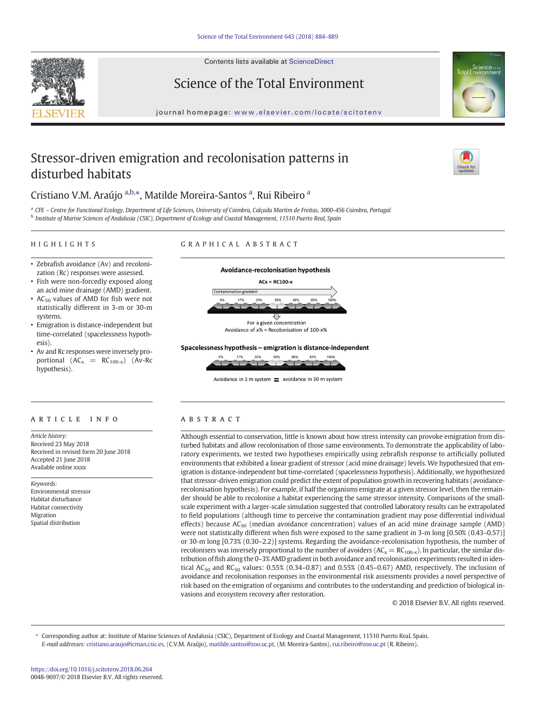Contents lists available at ScienceDirect





## Science of the Total Environment

journal homepage: <www.elsevier.com/locate/scitotenv>

## Stressor-driven emigration and recolonisation patterns in disturbed habitats



## Cristiano V.M. Araújo a,b,\*, Matilde Moreira-Santos a, Rui Ribeiro a

<sup>a</sup> CFE – Centre for Functional Ecology, Department of Life Sciences, University of Coimbra, Calçada Martim de Freitas, 3000-456 Coimbra, Portugal <sup>b</sup> Institute of Marine Sciences of Andalusia (CSIC), Department of Ecology and Coastal Management, 11510 Puerto Real, Spain

#### HIGHLIGHTS

#### GRAPHICAL ABSTRACT

- Zebrafish avoidance (Av) and recolonization (Rc) responses were assessed.
- Fish were non-forcedly exposed along an acid mine drainage (AMD) gradient.
- $AC_{50}$  values of AMD for fish were not statistically different in 3-m or 30-m systems.
- Emigration is distance-independent but time-correlated (spacelessness hypothesis).
- Av and Rc responses were inversely proportional  $(AC_x = RC_{100-x})$   $(Av-RC)$ hypothesis).

### article info abstract

Article history: Received 23 May 2018 Received in revised form 20 June 2018 Accepted 21 June 2018 Available online xxxx

Keywords: Environmental stressor Habitat disturbance Habitat connectivity Migration Spatial distribution



#### Spacelessness hypothesis - emigration is distance-independent



Avoidance in 3 m system  $\equiv$  avoidance in 30 m system

Although essential to conservation, little is known about how stress intensity can provoke emigration from disturbed habitats and allow recolonisation of those same environments. To demonstrate the applicability of laboratory experiments, we tested two hypotheses empirically using zebrafish response to artificially polluted environments that exhibited a linear gradient of stressor (acid mine drainage) levels. We hypothesized that emigration is distance-independent but time-correlated (spacelessness hypothesis). Additionally, we hypothesized that stressor-driven emigration could predict the extent of population growth in recovering habitats (avoidancerecolonisation hypothesis). For example, if half the organisms emigrate at a given stressor level, then the remainder should be able to recolonise a habitat experiencing the same stressor intensity. Comparisons of the smallscale experiment with a larger-scale simulation suggested that controlled laboratory results can be extrapolated to field populations (although time to perceive the contamination gradient may pose differential individual effects) because  $AC_{50}$  (median avoidance concentration) values of an acid mine drainage sample (AMD) were not statistically different when fish were exposed to the same gradient in 3-m long [0.50% (0.43–0.57)] or 30-m long [0.73% (0.30–2.2)] systems. Regarding the avoidance-recolonisation hypothesis, the number of recolonisers was inversely proportional to the number of avoiders  $(AC_x = RC_{100-x})$ . In particular, the similar distribution of fish along the 0–3% AMD gradient in both avoidance and recolonisation experiments resulted in identical AC<sub>50</sub> and RC<sub>50</sub> values: 0.55% (0.34–0.87) and 0.55% (0.45–0.67) AMD, respectively. The inclusion of avoidance and recolonisation responses in the environmental risk assessments provides a novel perspective of risk based on the emigration of organisms and contributes to the understanding and prediction of biological invasions and ecosystem recovery after restoration.

© 2018 Elsevier B.V. All rights reserved.

⁎ Corresponding author at: Institute of Marine Sciences of Andalusia (CSIC), Department of Ecology and Coastal Management, 11510 Puerto Real, Spain. E-mail addresses: cristiano.araujo@icman.csic.es, (C.V.M. Araújo), matilde.santos@zoo.uc.pt, (M. Moreira-Santos), <rui.ribeiro@zoo.uc.pt> (R. Ribeiro).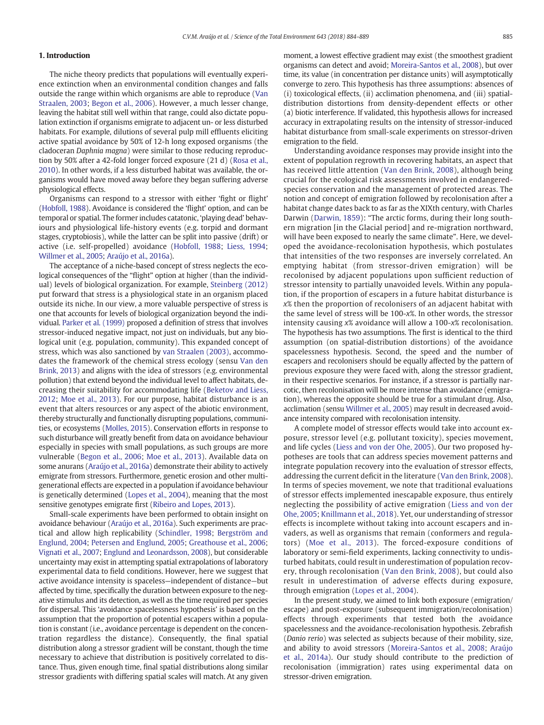#### 1. Introduction

The niche theory predicts that populations will eventually experience extinction when an environmental condition changes and falls outside the range within which organisms are able to reproduce ([Van](#page--1-0) [Straalen, 2003](#page--1-0); [Begon et al., 2006\)](#page--1-0). However, a much lesser change, leaving the habitat still well within that range, could also dictate population extinction if organisms emigrate to adjacent un- or less disturbed habitats. For example, dilutions of several pulp mill effluents eliciting active spatial avoidance by 50% of 12-h long exposed organisms (the cladoceran Daphnia magna) were similar to those reducing reproduction by 50% after a 42-fold longer forced exposure (21 d) [\(Rosa et al.,](#page--1-0) [2010](#page--1-0)). In other words, if a less disturbed habitat was available, the organisms would have moved away before they began suffering adverse physiological effects.

Organisms can respond to a stressor with either 'fight or flight' [\(Hobfoll, 1988\)](#page--1-0). Avoidance is considered the 'flight' option, and can be temporal or spatial. The former includes catatonic, 'playing dead' behaviours and physiological life-history events (e.g. torpid and dormant stages, cryptobiosis), while the latter can be split into passive (drift) or active (i.e. self-propelled) avoidance [\(Hobfoll, 1988;](#page--1-0) [Liess, 1994;](#page--1-0) [Willmer et al., 2005](#page--1-0); [Araújo et al., 2016a](#page--1-0)).

The acceptance of a niche-based concept of stress neglects the ecological consequences of the "flight" option at higher (than the individual) levels of biological organization. For example, [Steinberg \(2012\)](#page--1-0) put forward that stress is a physiological state in an organism placed outside its niche. In our view, a more valuable perspective of stress is one that accounts for levels of biological organization beyond the individual. [Parker et al. \(1999\)](#page--1-0) proposed a definition of stress that involves stressor-induced negative impact, not just on individuals, but any biological unit (e.g. population, community). This expanded concept of stress, which was also sanctioned by [van Straalen \(2003\)](#page--1-0), accommodates the framework of the chemical stress ecology (sensu [Van den](#page--1-0) [Brink, 2013](#page--1-0)) and aligns with the idea of stressors (e.g. environmental pollution) that extend beyond the individual level to affect habitats, decreasing their suitability for accommodating life [\(Beketov and Liess,](#page--1-0) [2012;](#page--1-0) [Moe et al., 2013](#page--1-0)). For our purpose, habitat disturbance is an event that alters resources or any aspect of the abiotic environment, thereby structurally and functionally disrupting populations, communities, or ecosystems [\(Molles, 2015](#page--1-0)). Conservation efforts in response to such disturbance will greatly benefit from data on avoidance behaviour especially in species with small populations, as such groups are more vulnerable [\(Begon et al., 2006;](#page--1-0) [Moe et al., 2013\)](#page--1-0). Available data on some anurans ([Araújo et al., 2016a](#page--1-0)) demonstrate their ability to actively emigrate from stressors. Furthermore, genetic erosion and other multigenerational effects are expected in a population if avoidance behaviour is genetically determined [\(Lopes et al., 2004\)](#page--1-0), meaning that the most sensitive genotypes emigrate first ([Ribeiro and Lopes, 2013](#page--1-0)).

Small-scale experiments have been performed to obtain insight on avoidance behaviour [\(Araújo et al., 2016a](#page--1-0)). Such experiments are practical and allow high replicability [\(Schindler, 1998;](#page--1-0) [Bergström and](#page--1-0) [Englund, 2004](#page--1-0); [Petersen and Englund, 2005](#page--1-0); [Greathouse et al., 2006;](#page--1-0) [Vignati et al., 2007;](#page--1-0) [Englund and Leonardsson, 2008](#page--1-0)), but considerable uncertainty may exist in attempting spatial extrapolations of laboratory experimental data to field conditions. However, here we suggest that active avoidance intensity is spaceless—independent of distance—but affected by time, specifically the duration between exposure to the negative stimulus and its detection, as well as the time required per species for dispersal. This 'avoidance spacelessness hypothesis' is based on the assumption that the proportion of potential escapers within a population is constant (i.e., avoidance percentage is dependent on the concentration regardless the distance). Consequently, the final spatial distribution along a stressor gradient will be constant, though the time necessary to achieve that distribution is positively correlated to distance. Thus, given enough time, final spatial distributions along similar stressor gradients with differing spatial scales will match. At any given moment, a lowest effective gradient may exist (the smoothest gradient organisms can detect and avoid; [Moreira-Santos et al., 2008](#page--1-0)), but over time, its value (in concentration per distance units) will asymptotically converge to zero. This hypothesis has three assumptions: absences of (i) toxicological effects, (ii) acclimation phenomena, and (iii) spatialdistribution distortions from density-dependent effects or other (a) biotic interference. If validated, this hypothesis allows for increased accuracy in extrapolating results on the intensity of stressor-induced habitat disturbance from small-scale experiments on stressor-driven emigration to the field.

Understanding avoidance responses may provide insight into the extent of population regrowth in recovering habitats, an aspect that has received little attention ([Van den Brink, 2008](#page--1-0)), although being crucial for the ecological risk assessments involved in endangeredspecies conservation and the management of protected areas. The notion and concept of emigration followed by recolonisation after a habitat change dates back to as far as the XIXth century, with Charles Darwin ([Darwin, 1859](#page--1-0)): "The arctic forms, during their long southern migration [in the Glacial period] and re-migration northward, will have been exposed to nearly the same climate". Here, we developed the avoidance-recolonisation hypothesis, which postulates that intensities of the two responses are inversely correlated. An emptying habitat (from stressor-driven emigration) will be recolonised by adjacent populations upon sufficient reduction of stressor intensity to partially unavoided levels. Within any population, if the proportion of escapers in a future habitat disturbance is x% then the proportion of recolonisers of an adjacent habitat with the same level of stress will be 100-x%. In other words, the stressor intensity causing x% avoidance will allow a 100-x% recolonisation. The hypothesis has two assumptions. The first is identical to the third assumption (on spatial-distribution distortions) of the avoidance spacelessness hypothesis. Second, the speed and the number of escapers and recolonisers should be equally affected by the pattern of previous exposure they were faced with, along the stressor gradient, in their respective scenarios. For instance, if a stressor is partially narcotic, then recolonisation will be more intense than avoidance (emigration), whereas the opposite should be true for a stimulant drug. Also, acclimation (sensu [Willmer et al., 2005](#page--1-0)) may result in decreased avoidance intensity compared with recolonisation intensity.

A complete model of stressor effects would take into account exposure, stressor level (e.g. pollutant toxicity), species movement, and life cycles [\(Liess and von der Ohe, 2005](#page--1-0)). Our two proposed hypotheses are tools that can address species movement patterns and integrate population recovery into the evaluation of stressor effects, addressing the current deficit in the literature ([Van den Brink, 2008](#page--1-0)). In terms of species movement, we note that traditional evaluations of stressor effects implemented inescapable exposure, thus entirely neglecting the possibility of active emigration [\(Liess and von der](#page--1-0) [Ohe, 2005](#page--1-0); [Knillmann et al., 2018](#page--1-0)). Yet, our understanding of stressor effects is incomplete without taking into account escapers and invaders, as well as organisms that remain (conformers and regulators) ([Moe et al., 2013](#page--1-0)). The forced-exposure conditions of laboratory or semi-field experiments, lacking connectivity to undisturbed habitats, could result in underestimation of population recovery, through recolonisation ([Van den Brink, 2008\)](#page--1-0), but could also result in underestimation of adverse effects during exposure, through emigration ([Lopes et al., 2004\)](#page--1-0).

In the present study, we aimed to link both exposure (emigration/ escape) and post-exposure (subsequent immigration/recolonisation) effects through experiments that tested both the avoidance spacelessness and the avoidance-recolonisation hypothesis. Zebrafish (Danio rerio) was selected as subjects because of their mobility, size, and ability to avoid stressors [\(Moreira-Santos et al., 2008;](#page--1-0) [Araújo](#page--1-0) [et al., 2014a](#page--1-0)). Our study should contribute to the prediction of recolonisation (immigration) rates using experimental data on stressor-driven emigration.